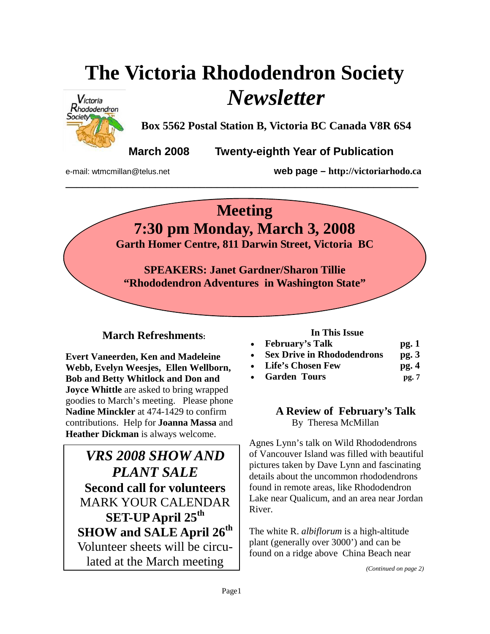# **The Victoria Rhododendron Society**  *Newsletter*



**Box 5562 Postal Station B, Victoria BC Canada V8R 6S4** 

**March 2008 Twenty-eighth Year of Publication** 

e-mail: wtmcmillan@telus.net **web page – http://victoriarhodo.ca**

## **Meeting**

**\_\_\_\_\_\_\_\_\_\_\_\_\_\_\_\_\_\_\_\_\_\_\_\_\_\_\_\_\_\_\_\_\_\_\_\_\_\_\_\_\_\_\_\_\_\_\_\_\_\_\_\_\_\_\_\_\_\_\_\_\_\_\_** 

**7:30 pm Monday, March 3, 2008** 

**Garth Homer Centre, 811 Darwin Street, Victoria BC** 

**SPEAKERS: Janet Gardner/Sharon Tillie "Rhododendron Adventures in Washington State"** 

### **March Refreshments:**

**Evert Vaneerden, Ken and Madeleine Webb, Evelyn Weesjes, Ellen Wellborn, Bob and Betty Whitlock and Don and Joyce Whittle** are asked to bring wrapped goodies to March's meeting. Please phone **Nadine Minckler** at 474-1429 to confirm contributions. Help for **Joanna Massa** and **Heather Dickman** is always welcome.

*VRS 2008 SHOW AND PLANT SALE*  **Second call for volunteers**  MARK YOUR CALENDAR **SET-UP April 25th SHOW and SALE April 26th** Volunteer sheets will be circulated at the March meeting

#### **In This Issue**

| $\bullet$ | <b>February's Talk</b>            | pg.1    |
|-----------|-----------------------------------|---------|
| $\bullet$ | <b>Sex Drive in Rhododendrons</b> | pg. $3$ |

- **Life's Chosen Few pg. 4**
- **Garden Tours pg. 7**

#### **A Review of February's Talk**  By Theresa McMillan

Agnes Lynn's talk on Wild Rhododendrons of Vancouver Island was filled with beautiful pictures taken by Dave Lynn and fascinating details about the uncommon rhododendrons found in remote areas, like Rhododendron Lake near Qualicum, and an area near Jordan River.

The white R. *albiflorum* is a high-altitude plant (generally over 3000') and can be found on a ridge above China Beach near

*(Continued on page 2)*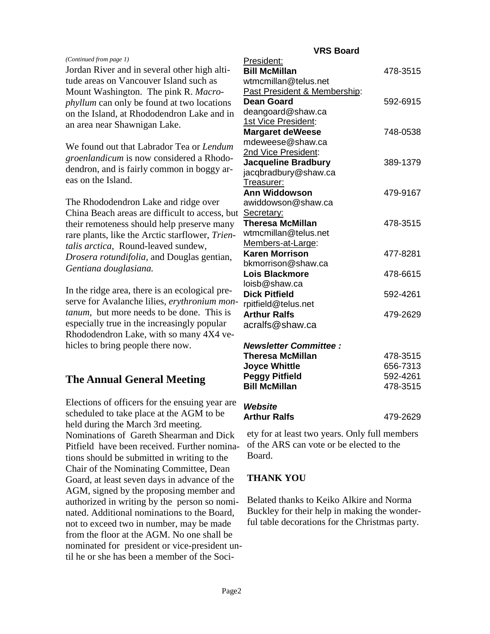|                                                                                | <b>VRS Board</b>                              |                      |
|--------------------------------------------------------------------------------|-----------------------------------------------|----------------------|
| (Continued from page 1)<br>Jordan River and in several other high alti-        | President:<br><b>Bill McMillan</b>            | 478-3515             |
| tude areas on Vancouver Island such as                                         | wtmcmillan@telus.net                          |                      |
| Mount Washington. The pink R. Macro-                                           | Past President & Membership:                  |                      |
| <i>phyllum</i> can only be found at two locations                              | <b>Dean Goard</b>                             | 592-6915             |
| on the Island, at Rhododendron Lake and in                                     | deangoard@shaw.ca                             |                      |
| an area near Shawnigan Lake.                                                   | 1st Vice President:                           |                      |
|                                                                                | <b>Margaret deWeese</b>                       | 748-0538             |
| We found out that Labrador Tea or Lendum                                       | mdeweese@shaw.ca                              |                      |
|                                                                                | 2nd Vice President:                           |                      |
| groenlandicum is now considered a Rhodo-                                       | <b>Jacqueline Bradbury</b>                    | 389-1379             |
| dendron, and is fairly common in boggy ar-                                     | jacqbradbury@shaw.ca                          |                      |
| eas on the Island.                                                             | Treasurer:                                    |                      |
|                                                                                | <b>Ann Widdowson</b>                          | 479-9167             |
| The Rhododendron Lake and ridge over                                           | awiddowson@shaw.ca                            |                      |
| China Beach areas are difficult to access, but Secretary:                      |                                               |                      |
| their remoteness should help preserve many                                     | <b>Theresa McMillan</b>                       | 478-3515             |
| rare plants, like the Arctic starflower, Trien-                                | wtmcmillan@telus.net                          |                      |
| talis arctica, Round-leaved sundew,                                            | Members-at-Large:                             |                      |
| Drosera rotundifolia, and Douglas gentian,                                     | <b>Karen Morrison</b>                         | 477-8281             |
| Gentiana douglasiana.                                                          | bkmorrison@shaw.ca                            |                      |
|                                                                                | <b>Lois Blackmore</b>                         | 478-6615             |
| In the ridge area, there is an ecological pre-                                 | loisb@shaw.ca                                 |                      |
| serve for Avalanche lilies, erythronium mon-                                   | <b>Dick Pitfield</b>                          | 592-4261             |
| tanum, but more needs to be done. This is                                      | rpitfield@telus.net                           |                      |
| especially true in the increasingly popular                                    | <b>Arthur Ralfs</b>                           | 479-2629             |
|                                                                                | acralfs@shaw.ca                               |                      |
| Rhododendron Lake, with so many 4X4 ve-                                        |                                               |                      |
| hicles to bring people there now.                                              | <b>Newsletter Committee:</b>                  |                      |
|                                                                                | <b>Theresa McMillan</b>                       | 478-3515<br>656-7313 |
|                                                                                | <b>Joyce Whittle</b><br><b>Peggy Pitfield</b> | 592-4261             |
| <b>The Annual General Meeting</b>                                              | <b>Bill McMillan</b>                          | 478-3515             |
|                                                                                |                                               |                      |
| Elections of officers for the ensuing year are                                 | Website                                       |                      |
| scheduled to take place at the AGM to be<br>held during the March 3rd meeting. | <b>Arthur Ralfs</b>                           | 479-2629             |

ety for at least two years. Only full members of the ARS can vote or be elected to the Board.

#### **THANK YOU**

Belated thanks to Keiko Alkire and Norma Buckley for their help in making the wonderful table decorations for the Christmas party.

Nominations of Gareth Shearman and Dick Pitfield have been received. Further nominations should be submitted in writing to the Chair of the Nominating Committee, Dean Goard, at least seven days in advance of the AGM, signed by the proposing member and authorized in writing by the person so nominated. Additional nominations to the Board, not to exceed two in number, may be made from the floor at the AGM. No one shall be nominated for president or vice-president until he or she has been a member of the Soci-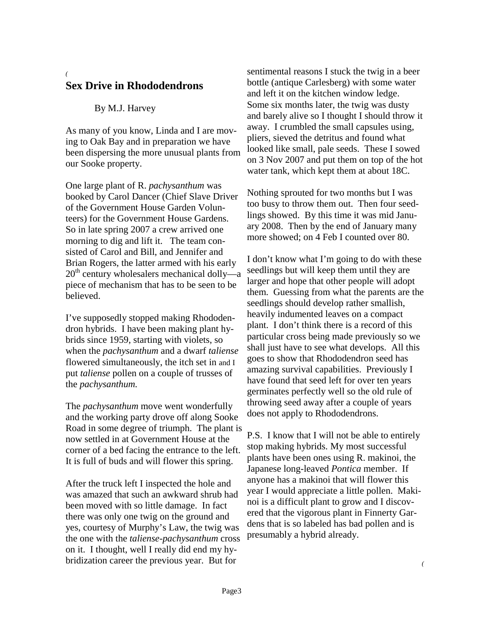#### *(*  **Sex Drive in Rhododendrons**

#### By M.J. Harvey

As many of you know, Linda and I are moving to Oak Bay and in preparation we have been dispersing the more unusual plants from our Sooke property.

One large plant of R. *pachysanthum* was booked by Carol Dancer (Chief Slave Driver of the Government House Garden Volunteers) for the Government House Gardens. So in late spring 2007 a crew arrived one morning to dig and lift it. The team consisted of Carol and Bill, and Jennifer and Brian Rogers, the latter armed with his early  $20<sup>th</sup>$  century wholesalers mechanical dolly—a piece of mechanism that has to be seen to be believed.

I've supposedly stopped making Rhododendron hybrids. I have been making plant hybrids since 1959, starting with violets, so when the *pachysanthum* and a dwarf *taliense*  flowered simultaneously, the itch set in and I put *taliense* pollen on a couple of trusses of the *pachysanthum.* 

The *pachysanthum* move went wonderfully and the working party drove off along Sooke Road in some degree of triumph. The plant is now settled in at Government House at the corner of a bed facing the entrance to the left. It is full of buds and will flower this spring.

After the truck left I inspected the hole and was amazed that such an awkward shrub had been moved with so little damage. In fact there was only one twig on the ground and yes, courtesy of Murphy's Law, the twig was the one with the *taliense-pachysanthum* cross on it. I thought, well I really did end my hybridization career the previous year. But for

sentimental reasons I stuck the twig in a beer bottle (antique Carlesberg) with some water and left it on the kitchen window ledge. Some six months later, the twig was dusty and barely alive so I thought I should throw it away. I crumbled the small capsules using, pliers, sieved the detritus and found what looked like small, pale seeds. These I sowed on 3 Nov 2007 and put them on top of the hot water tank, which kept them at about 18C.

Nothing sprouted for two months but I was too busy to throw them out. Then four seedlings showed. By this time it was mid January 2008. Then by the end of January many more showed; on 4 Feb I counted over 80.

I don't know what I'm going to do with these seedlings but will keep them until they are larger and hope that other people will adopt them. Guessing from what the parents are the seedlings should develop rather smallish, heavily indumented leaves on a compact plant. I don't think there is a record of this particular cross being made previously so we shall just have to see what develops. All this goes to show that Rhododendron seed has amazing survival capabilities. Previously I have found that seed left for over ten years germinates perfectly well so the old rule of throwing seed away after a couple of years does not apply to Rhododendrons.

P.S. I know that I will not be able to entirely stop making hybrids. My most successful plants have been ones using R. makinoi, the Japanese long-leaved *Pontica* member. If anyone has a makinoi that will flower this year I would appreciate a little pollen. Makinoi is a difficult plant to grow and I discovered that the vigorous plant in Finnerty Gardens that is so labeled has bad pollen and is presumably a hybrid already.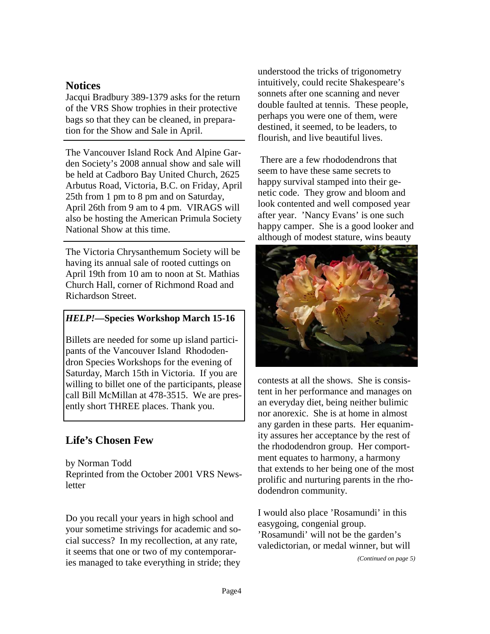#### **Notices**

Jacqui Bradbury 389-1379 asks for the return of the VRS Show trophies in their protective bags so that they can be cleaned, in preparation for the Show and Sale in April.

The Vancouver Island Rock And Alpine Garden Society's 2008 annual show and sale will be held at Cadboro Bay United Church, 2625 Arbutus Road, Victoria, B.C. on Friday, April 25th from 1 pm to 8 pm and on Saturday, April 26th from 9 am to 4 pm. VIRAGS will also be hosting the American Primula Society National Show at this time.

The Victoria Chrysanthemum Society will be having its annual sale of rooted cuttings on April 19th from 10 am to noon at St. Mathias Church Hall, corner of Richmond Road and Richardson Street.

#### *HELP!—***Species Workshop March 15-16**

Billets are needed for some up island participants of the Vancouver Island Rhododendron Species Workshops for the evening of Saturday, March 15th in Victoria. If you are willing to billet one of the participants, please call Bill McMillan at 478-3515. We are presently short THREE places. Thank you.

### **Life's Chosen Few**

by Norman Todd Reprinted from the October 2001 VRS Newsletter

Do you recall your years in high school and your sometime strivings for academic and social success? In my recollection, at any rate, it seems that one or two of my contemporaries managed to take everything in stride; they understood the tricks of trigonometry intuitively, could recite Shakespeare's sonnets after one scanning and never double faulted at tennis. These people, perhaps you were one of them, were destined, it seemed, to be leaders, to flourish, and live beautiful lives.

 There are a few rhododendrons that seem to have these same secrets to happy survival stamped into their genetic code. They grow and bloom and look contented and well composed year after year. 'Nancy Evans' is one such happy camper. She is a good looker and although of modest stature, wins beauty



contests at all the shows. She is consistent in her performance and manages on an everyday diet, being neither bulimic nor anorexic. She is at home in almost any garden in these parts. Her equanimity assures her acceptance by the rest of the rhododendron group. Her comportment equates to harmony, a harmony that extends to her being one of the most prolific and nurturing parents in the rhododendron community.

I would also place 'Rosamundi' in this easygoing, congenial group. 'Rosamundi' will not be the garden's valedictorian, or medal winner, but will

*(Continued on page 5)*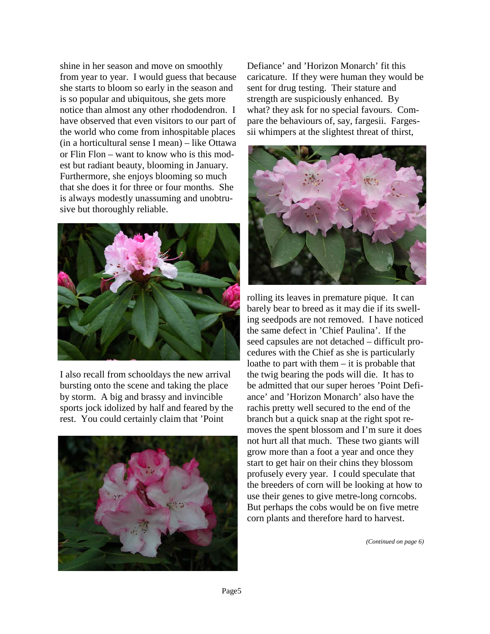shine in her season and move on smoothly from year to year. I would guess that because she starts to bloom so early in the season and is so popular and ubiquitous, she gets more notice than almost any other rhododendron. I have observed that even visitors to our part of the world who come from inhospitable places (in a horticultural sense I mean) – like Ottawa or Flin Flon – want to know who is this modest but radiant beauty, blooming in January. Furthermore, she enjoys blooming so much that she does it for three or four months. She is always modestly unassuming and unobtrusive but thoroughly reliable.



I also recall from schooldays the new arrival bursting onto the scene and taking the place by storm. A big and brassy and invincible sports jock idolized by half and feared by the rest. You could certainly claim that 'Point



Defiance' and 'Horizon Monarch' fit this caricature. If they were human they would be sent for drug testing. Their stature and strength are suspiciously enhanced. By what? they ask for no special favours. Compare the behaviours of, say, fargesii. Fargessii whimpers at the slightest threat of thirst,



rolling its leaves in premature pique. It can barely bear to breed as it may die if its swelling seedpods are not removed. I have noticed the same defect in 'Chief Paulina'. If the seed capsules are not detached – difficult procedures with the Chief as she is particularly loathe to part with them – it is probable that the twig bearing the pods will die. It has to be admitted that our super heroes 'Point Defiance' and 'Horizon Monarch' also have the rachis pretty well secured to the end of the branch but a quick snap at the right spot removes the spent blossom and I'm sure it does not hurt all that much. These two giants will grow more than a foot a year and once they start to get hair on their chins they blossom profusely every year. I could speculate that the breeders of corn will be looking at how to use their genes to give metre-long corncobs. But perhaps the cobs would be on five metre corn plants and therefore hard to harvest.

*(Continued on page 6)*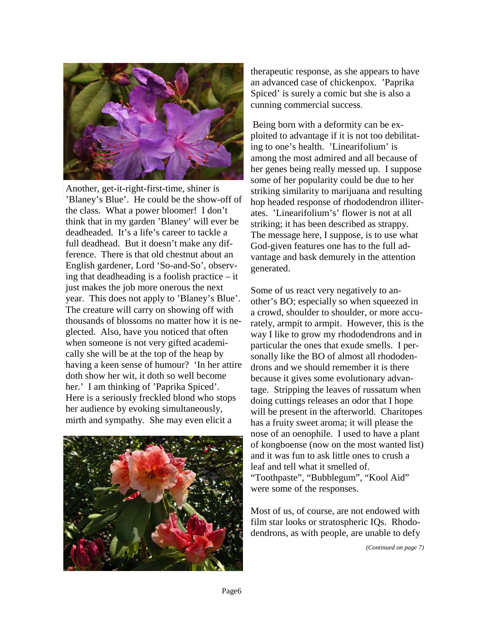

Another, get-it-right-first-time, shiner is 'Blaney's Blue'. He could be the show-off of the class. What a power bloomer! I don't think that in my garden 'Blaney' will ever be deadheaded. It's a life's career to tackle a full deadhead. But it doesn't make any difference. There is that old chestnut about an English gardener, Lord 'So-and-So', observing that deadheading is a foolish practice – it just makes the job more onerous the next year. This does not apply to 'Blaney's Blue'. The creature will carry on showing off with thousands of blossoms no matter how it is neglected. Also, have you noticed that often when someone is not very gifted academically she will be at the top of the heap by having a keen sense of humour? 'In her attire doth show her wit, it doth so well become her.' I am thinking of 'Paprika Spiced'. Here is a seriously freckled blond who stops her audience by evoking simultaneously, mirth and sympathy. She may even elicit a



therapeutic response, as she appears to have an advanced case of chickenpox. 'Paprika Spiced' is surely a comic but she is also a cunning commercial success.

Being born with a deformity can be exploited to advantage if it is not too debilitating to one's health. 'Linearifolium' is among the most admired and all because of her genes being really messed up. I suppose some of her popularity could be due to her striking similarity to marijuana and resulting hop headed response of rhododendron illiterates. 'Linearifolium's' flower is not at all striking; it has been described as strappy. The message here, I suppose, is to use what God-given features one has to the full advantage and bask demurely in the attention generated.

Some of us react very negatively to another's BO; especially so when squeezed in a crowd, shoulder to shoulder, or more accurately, armpit to armpit. However, this is the way I like to grow my rhododendrons and in particular the ones that exude smells. I personally like the BO of almost all rhododendrons and we should remember it is there because it gives some evolutionary advantage. Stripping the leaves of russatum when doing cuttings releases an odor that I hope will be present in the afterworld. Charitopes has a fruity sweet aroma; it will please the nose of an oenophile. I used to have a plant of kongboense (now on the most wanted list) and it was fun to ask little ones to crush a leaf and tell what it smelled of. "Toothpaste", "Bubblegum", "Kool Aid" were some of the responses.

Most of us, of course, are not endowed with film star looks or stratospheric IQs. Rhododendrons, as with people, are unable to defy

*(Continued on page 7)*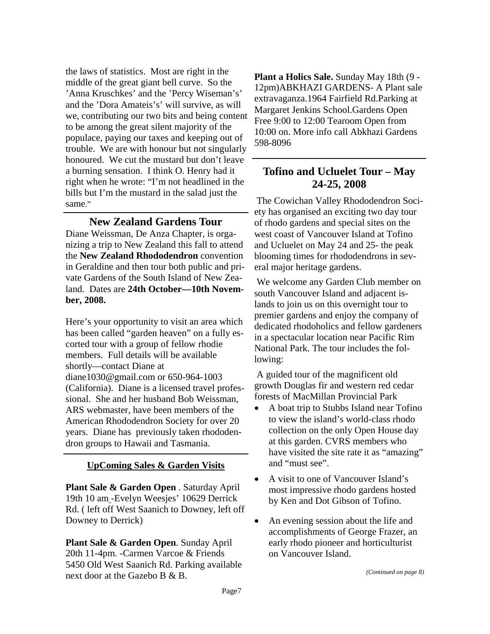the laws of statistics. Most are right in the middle of the great giant bell curve. So the 'Anna Kruschkes' and the 'Percy Wiseman's' and the 'Dora Amateis's' will survive, as will we, contributing our two bits and being content to be among the great silent majority of the populace, paying our taxes and keeping out of trouble. We are with honour but not singularly honoured. We cut the mustard but don't leave a burning sensation. I think O. Henry had it right when he wrote: "I'm not headlined in the bills but I'm the mustard in the salad just the same."

#### **New Zealand Gardens Tour**

Diane Weissman, De Anza Chapter, is organizing a trip to New Zealand this fall to attend the **New Zealand Rhododendron** convention in Geraldine and then tour both public and private Gardens of the South Island of New Zealand. Dates are **24th October—10th November, 2008.**

Here's your opportunity to visit an area which has been called "garden heaven" on a fully escorted tour with a group of fellow rhodie members. Full details will be available shortly—contact Diane at diane1030@gmail.com or 650-964-1003 (California). Diane is a licensed travel professional. She and her husband Bob Weissman, ARS webmaster, have been members of the American Rhododendron Society for over 20 years. Diane has previously taken rhododendron groups to Hawaii and Tasmania.

#### **UpComing Sales & Garden Visits**

**Plant Sale & Garden Open** . Saturday April 19th 10 am -Evelyn Weesjes' 10629 Derrick Rd. ( left off West Saanich to Downey, left off Downey to Derrick)

**Plant Sale & Garden Open**. Sunday April 20th 11-4pm. -Carmen Varcoe & Friends 5450 Old West Saanich Rd. Parking available next door at the Gazebo B & B.

**Plant a Holics Sale.** Sunday May 18th (9 - 12pm)ABKHAZI GARDENS- A Plant sale extravaganza.1964 Fairfield Rd.Parking at Margaret Jenkins School.Gardens Open Free 9:00 to 12:00 Tearoom Open from 10:00 on. More info call Abkhazi Gardens 598-8096

#### **Tofino and Ucluelet Tour – May 24-25, 2008**

The Cowichan Valley Rhododendron Society has organised an exciting two day tour of rhodo gardens and special sites on the west coast of Vancouver Island at Tofino and Ucluelet on May 24 and 25- the peak blooming times for rhododendrons in several major heritage gardens.

 We welcome any Garden Club member on south Vancouver Island and adjacent islands to join us on this overnight tour to premier gardens and enjoy the company of dedicated rhodoholics and fellow gardeners in a spectacular location near Pacific Rim National Park. The tour includes the following:

 A guided tour of the magnificent old growth Douglas fir and western red cedar forests of MacMillan Provincial Park

- A boat trip to Stubbs Island near Tofino to view the island's world-class rhodo collection on the only Open House day at this garden. CVRS members who have visited the site rate it as "amazing" and "must see".
- A visit to one of Vancouver Island's most impressive rhodo gardens hosted by Ken and Dot Gibson of Tofino.
- An evening session about the life and accomplishments of George Frazer, an early rhodo pioneer and horticulturist on Vancouver Island.